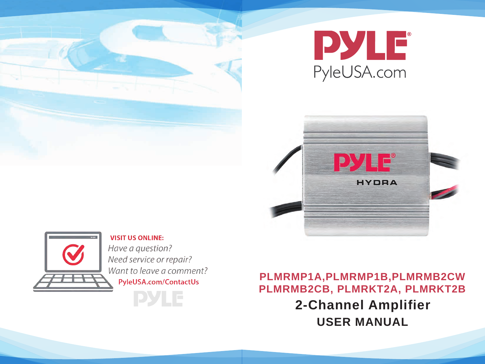







**VISIT US ONLINE:** Have a question? Need service or repair? Want to leave a comment? PyleUSA.com/ContactUs

**DYLE** 

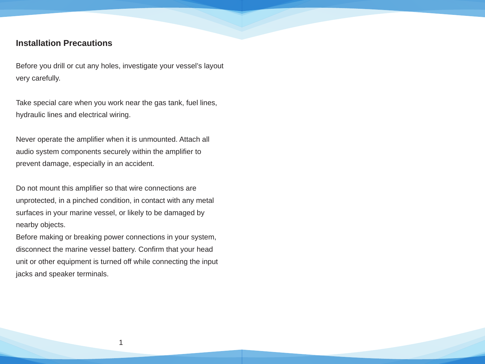# **Installation Precautions**

Before you drill or cut any holes, investigate your vessel's layout very carefully.

Take special care when you work near the gas tank, fuel lines, hydraulic lines and electrical wiring.

Never operate the amplifier when it is unmounted. Attach all audio system components securely within the amplifier to prevent damage, especially in an accident.

Do not mount this amplifier so that wire connections are unprotected, in a pinched condition, in contact with any metal surfaces in your marine vessel, or likely to be damaged by nearby objects.

Before making or breaking power connections in your system, disconnect the marine vessel battery. Confirm that your head unit or other equipment is turned off while connecting the input jacks and speaker terminals.

1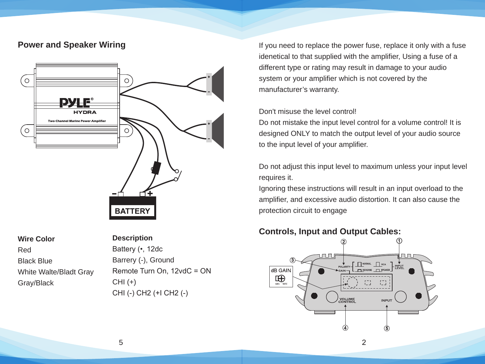# **Power and Speaker Wiring**



**Wire Color**

Red

#### **Description**

Black Blue White Walte/Bladt Gray Gray/Black  $CHI (+)$ 

Battery (•, 12dc Barrery (-), Ground Remote Turn On, 12vdC = ON CHI (-) CH2 (+I CH2 (-)

If you need to replace the power fuse, replace it only with a fuse idenetical to that supplied with the amplifier, Using a fuse of a different type or rating may result in damage to your audio system or your amplifier which is not covered by the manufacturer's warranty.

### Don't misuse the level control!

Do not mistake the input level control for a volume control! It is designed ONLY to match the output level of your audio source to the input level of your amplifier.

Do not adjust this input level to maximum unless your input level requires it.

Ignoring these instructions will result in an input overload to the amplifier, and excessive audio distortion. It can also cause the protection circuit to engage

### **Controls, Input and Output Cables:**